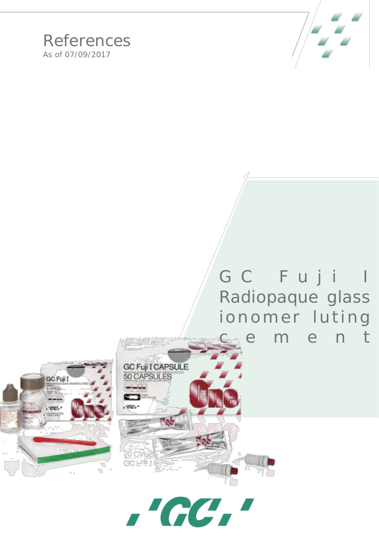

## References As of 07/09/2017

## GC Fuji I Radiopaque glass ionomer luting cement





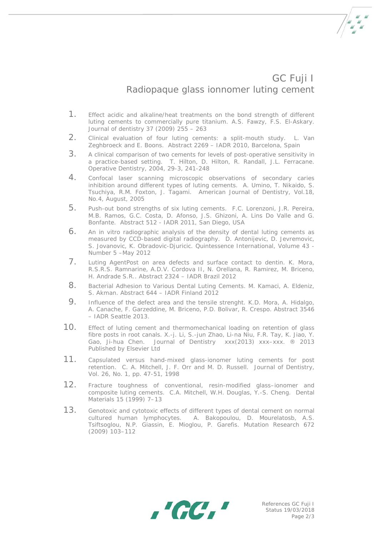## GC Fuji I Radiopaque glass ionnomer luting cement

- 1. Effect acidic and alkaline/heat treatments on the bond strength of different luting cements to commercially pure titanium. A.S. Fawzy, F.S. El-Askary. Journal of dentistry 37 (2009) 255 – 263
- 2. Clinical evaluation of four luting cements: a split-mouth study. L. Van Zeghbroeck and E. Boons. Abstract 2269 – IADR 2010, Barcelona, Spain
- 3. A clinical comparison of two cements for levels of post-operative sensitivity in a practice-based setting. T. Hilton, D. Hilton, R. Randall, J.L. Ferracane. Operative Dentistry, 2004, 29-3, 241-248
- 4. Confocal laser scanning microscopic observations of secondary caries inhibition around different types of luting cements. A. Umino, T. Nikaido, S. Tsuchiya, R.M. Foxton, J. Tagami. American Journal of Dentistry, Vol.18, No.4, August, 2005
- 5. Push-out bond strengths of six luting cements. F.C. Lorenzoni, J.R. Pereira, M.B. Ramos, G.C. Costa, D. Afonso, J.S. Ghizoni, A. Lins Do Valle and G. Bonfante. Abstract 512 - IADR 2011, San Diego, USA
- 6. An in vitro radiographic analysis of the density of dental luting cements as measured by CCD-based digital radiography. D. Antonijevic, D. Jevremovic, S. Jovanovic, K. Obradovic-Djuricic. Quintessence International, Volume 43 - Number 5 –May 2012
- 7. Luting AgentPost on area defects and surface contact to dentin. K. Mora, R.S.R.S. Ramnarine, A.D.V. Cordova II, N. Orellana, R. Ramirez, M. Briceno, H. Andrade S.R.. Abstract 2324 – IADR Brazil 2012
- 8. Bacterial Adhesion to Various Dental Luting Cements. M. Kamaci, A. Eldeniz, S. Akman. Abstract 644 – IADR Finland 2012
- 9. Influence of the defect area and the tensile strenght. K.D. Mora, A. Hidalgo, A. Canache, F. Garzeddine, M. Briceno, P.D. Bolivar, R. Crespo. Abstract 3546 – IADR Seattle 2013.
- 10. Effect of luting cement and thermomechanical loading on retention of glass fibre posts in root canals. X.-j. Li, S.-jun Zhao, Li-na Niu, F.R. Tay, K. Jiao, Y. Gao, Ji-hua Chen. Journal of Dentistry xxx(2013) xxx–xxx. ® 2013 Published by Elsevier Ltd
- 11. Capsulated versus hand-mixed glass-ionomer luting cements for post retention. C. A. Mitchell, J. F. Orr and M. D. Russell. Journal of Dentistry, Vol. 26, No. 1, pp. 47-51, 1998
- 12. Fracture toughness of conventional, resin-modified glass–ionomer and composite luting cements. C.A. Mitchell, W.H. Douglas, Y.-S. Cheng. Dental Materials 15 (1999) 7–13
- 13. Genotoxic and cytotoxic effects of different types of dental cement on normal cultured human lymphocytes. A. Bakopoulou, D. Mourelatosb, A.S. Tsiftsoglou, N.P. Giassin, E. Mioglou, P. Garefis. Mutation Research 672 (2009) 103–112